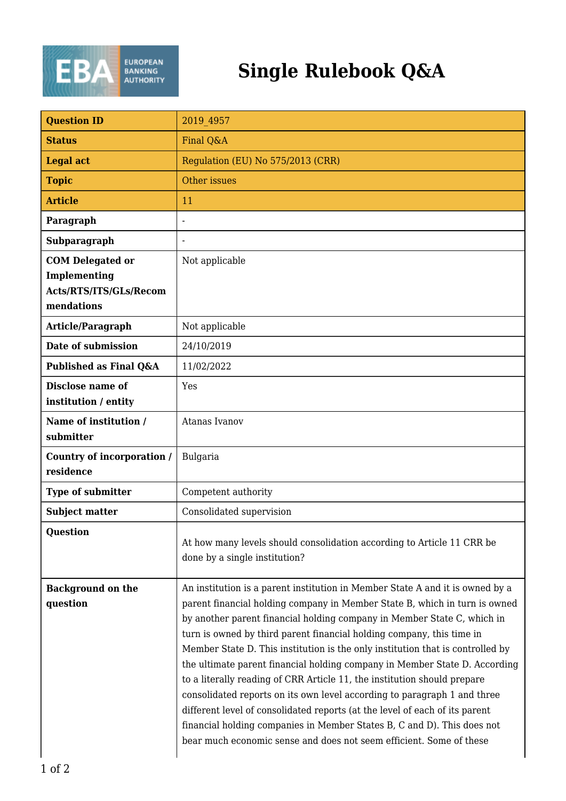

## **Single Rulebook Q&A**

| <b>Question ID</b>                                                                     | 2019 4957                                                                                                                                                                                                                                                                                                                                                                                                                                                                                                                                                                                                                                                                                                                                                                                                                                                                |
|----------------------------------------------------------------------------------------|--------------------------------------------------------------------------------------------------------------------------------------------------------------------------------------------------------------------------------------------------------------------------------------------------------------------------------------------------------------------------------------------------------------------------------------------------------------------------------------------------------------------------------------------------------------------------------------------------------------------------------------------------------------------------------------------------------------------------------------------------------------------------------------------------------------------------------------------------------------------------|
| <b>Status</b>                                                                          | Final Q&A                                                                                                                                                                                                                                                                                                                                                                                                                                                                                                                                                                                                                                                                                                                                                                                                                                                                |
| <b>Legal act</b>                                                                       | Regulation (EU) No 575/2013 (CRR)                                                                                                                                                                                                                                                                                                                                                                                                                                                                                                                                                                                                                                                                                                                                                                                                                                        |
| <b>Topic</b>                                                                           | Other issues                                                                                                                                                                                                                                                                                                                                                                                                                                                                                                                                                                                                                                                                                                                                                                                                                                                             |
| <b>Article</b>                                                                         | 11                                                                                                                                                                                                                                                                                                                                                                                                                                                                                                                                                                                                                                                                                                                                                                                                                                                                       |
| Paragraph                                                                              |                                                                                                                                                                                                                                                                                                                                                                                                                                                                                                                                                                                                                                                                                                                                                                                                                                                                          |
| Subparagraph                                                                           |                                                                                                                                                                                                                                                                                                                                                                                                                                                                                                                                                                                                                                                                                                                                                                                                                                                                          |
| <b>COM Delegated or</b><br><b>Implementing</b><br>Acts/RTS/ITS/GLs/Recom<br>mendations | Not applicable                                                                                                                                                                                                                                                                                                                                                                                                                                                                                                                                                                                                                                                                                                                                                                                                                                                           |
| Article/Paragraph                                                                      | Not applicable                                                                                                                                                                                                                                                                                                                                                                                                                                                                                                                                                                                                                                                                                                                                                                                                                                                           |
| Date of submission                                                                     | 24/10/2019                                                                                                                                                                                                                                                                                                                                                                                                                                                                                                                                                                                                                                                                                                                                                                                                                                                               |
| Published as Final Q&A                                                                 | 11/02/2022                                                                                                                                                                                                                                                                                                                                                                                                                                                                                                                                                                                                                                                                                                                                                                                                                                                               |
| Disclose name of<br>institution / entity                                               | Yes                                                                                                                                                                                                                                                                                                                                                                                                                                                                                                                                                                                                                                                                                                                                                                                                                                                                      |
| Name of institution /<br>submitter                                                     | Atanas Ivanov                                                                                                                                                                                                                                                                                                                                                                                                                                                                                                                                                                                                                                                                                                                                                                                                                                                            |
| Country of incorporation /<br>residence                                                | <b>Bulgaria</b>                                                                                                                                                                                                                                                                                                                                                                                                                                                                                                                                                                                                                                                                                                                                                                                                                                                          |
| <b>Type of submitter</b>                                                               | Competent authority                                                                                                                                                                                                                                                                                                                                                                                                                                                                                                                                                                                                                                                                                                                                                                                                                                                      |
| <b>Subject matter</b>                                                                  | Consolidated supervision                                                                                                                                                                                                                                                                                                                                                                                                                                                                                                                                                                                                                                                                                                                                                                                                                                                 |
| <b>Question</b>                                                                        | At how many levels should consolidation according to Article 11 CRR be<br>done by a single institution?                                                                                                                                                                                                                                                                                                                                                                                                                                                                                                                                                                                                                                                                                                                                                                  |
| <b>Background on the</b><br>question                                                   | An institution is a parent institution in Member State A and it is owned by a<br>parent financial holding company in Member State B, which in turn is owned<br>by another parent financial holding company in Member State C, which in<br>turn is owned by third parent financial holding company, this time in<br>Member State D. This institution is the only institution that is controlled by<br>the ultimate parent financial holding company in Member State D. According<br>to a literally reading of CRR Article 11, the institution should prepare<br>consolidated reports on its own level according to paragraph 1 and three<br>different level of consolidated reports (at the level of each of its parent<br>financial holding companies in Member States B, C and D). This does not<br>bear much economic sense and does not seem efficient. Some of these |